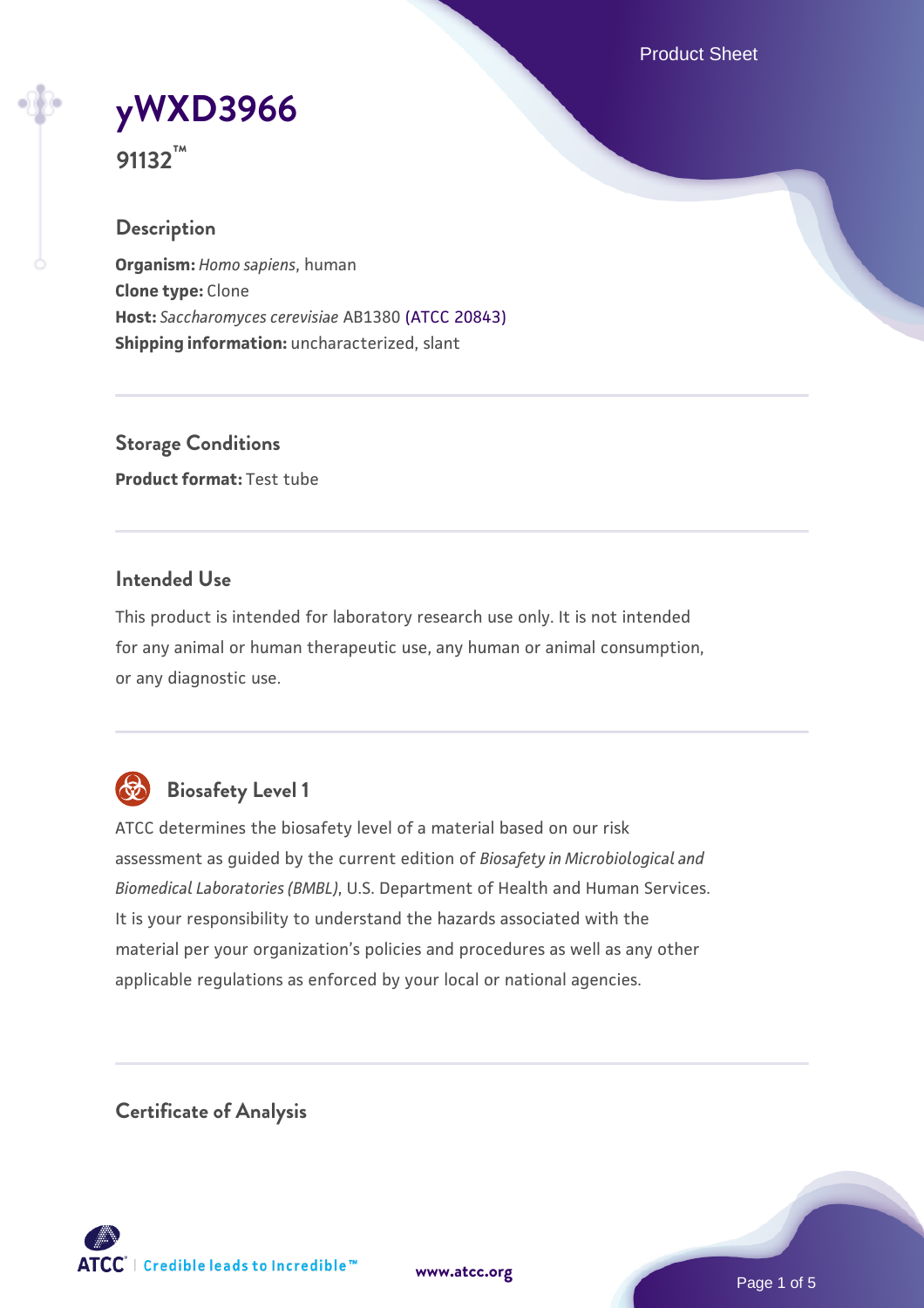Product Sheet

# **[yWXD3966](https://www.atcc.org/products/91132)**

**91132™**

## **Description**

**Organism:** *Homo sapiens*, human **Clone type:** Clone **Host:** *Saccharomyces cerevisiae* AB1380 [\(ATCC 20843\)](https://www.atcc.org/products/20843) **Shipping information:** uncharacterized, slant

**Storage Conditions Product format:** Test tube

## **Intended Use**

This product is intended for laboratory research use only. It is not intended for any animal or human therapeutic use, any human or animal consumption, or any diagnostic use.



## **Biosafety Level 1**

ATCC determines the biosafety level of a material based on our risk assessment as guided by the current edition of *Biosafety in Microbiological and Biomedical Laboratories (BMBL)*, U.S. Department of Health and Human Services. It is your responsibility to understand the hazards associated with the material per your organization's policies and procedures as well as any other applicable regulations as enforced by your local or national agencies.

**Certificate of Analysis**

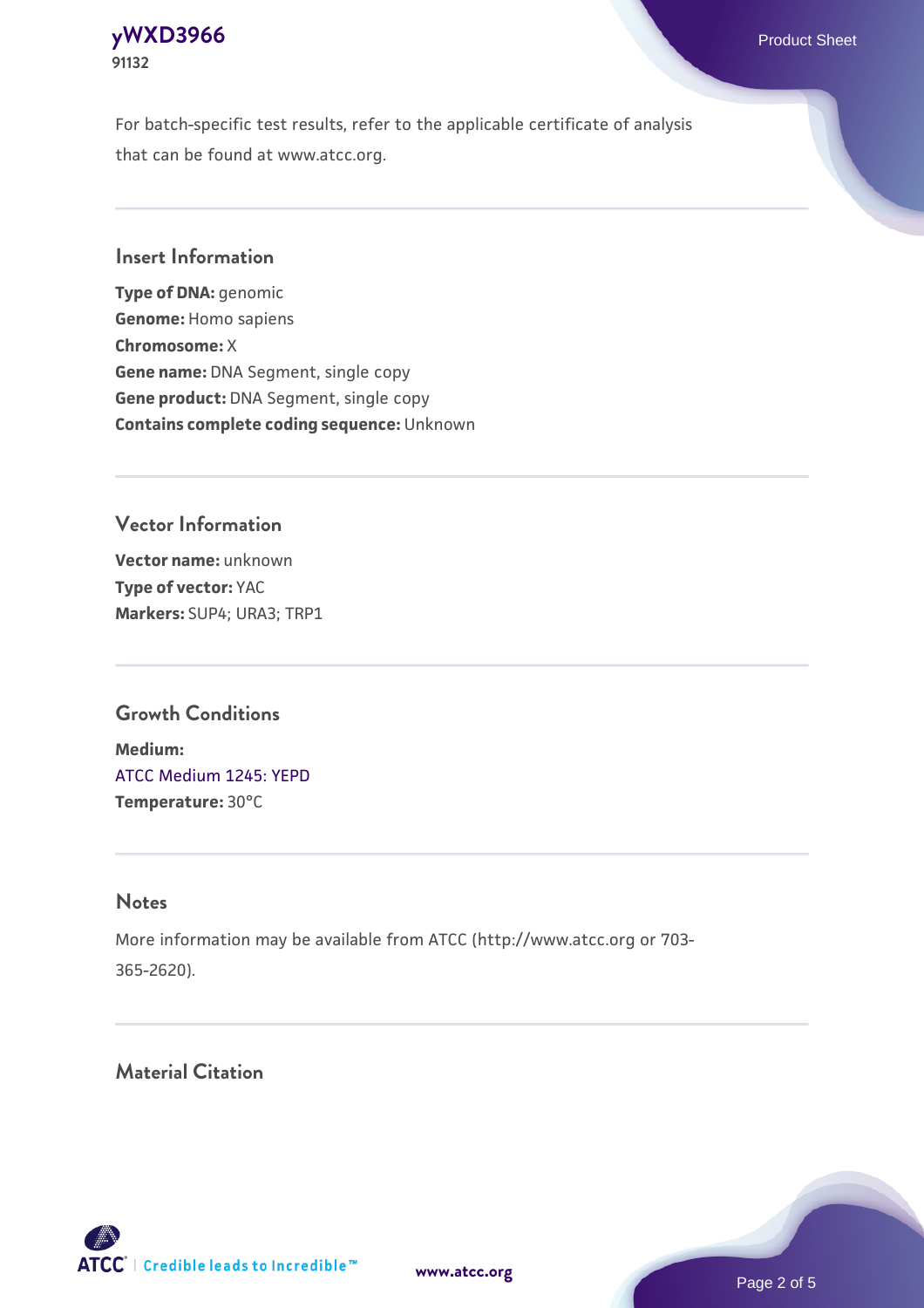For batch-specific test results, refer to the applicable certificate of analysis that can be found at www.atcc.org.

## **Insert Information**

**Type of DNA:** genomic **Genome:** Homo sapiens **Chromosome:** X **Gene name:** DNA Segment, single copy **Gene product:** DNA Segment, single copy **Contains complete coding sequence:** Unknown

## **Vector Information**

**Vector name:** unknown **Type of vector:** YAC **Markers:** SUP4; URA3; TRP1

## **Growth Conditions**

**Medium:**  [ATCC Medium 1245: YEPD](https://www.atcc.org/-/media/product-assets/documents/microbial-media-formulations/1/2/4/5/atcc-medium-1245.pdf?rev=705ca55d1b6f490a808a965d5c072196) **Temperature:** 30°C

#### **Notes**

More information may be available from ATCC (http://www.atcc.org or 703- 365-2620).

## **Material Citation**

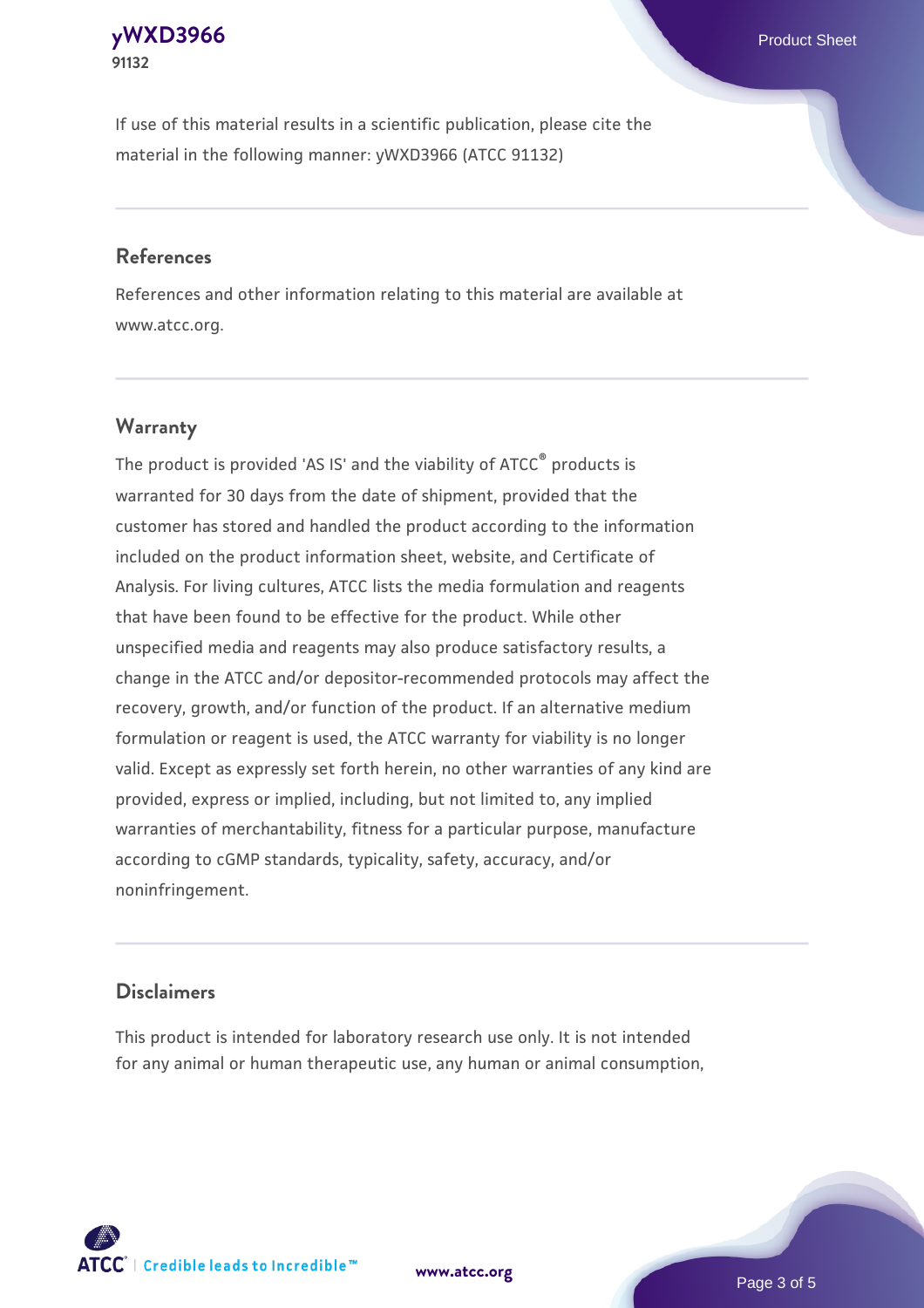If use of this material results in a scientific publication, please cite the material in the following manner: yWXD3966 (ATCC 91132)

### **References**

References and other information relating to this material are available at www.atcc.org.

## **Warranty**

The product is provided 'AS IS' and the viability of  $ATCC<sup>®</sup>$  products is warranted for 30 days from the date of shipment, provided that the customer has stored and handled the product according to the information included on the product information sheet, website, and Certificate of Analysis. For living cultures, ATCC lists the media formulation and reagents that have been found to be effective for the product. While other unspecified media and reagents may also produce satisfactory results, a change in the ATCC and/or depositor-recommended protocols may affect the recovery, growth, and/or function of the product. If an alternative medium formulation or reagent is used, the ATCC warranty for viability is no longer valid. Except as expressly set forth herein, no other warranties of any kind are provided, express or implied, including, but not limited to, any implied warranties of merchantability, fitness for a particular purpose, manufacture according to cGMP standards, typicality, safety, accuracy, and/or noninfringement.

#### **Disclaimers**

This product is intended for laboratory research use only. It is not intended for any animal or human therapeutic use, any human or animal consumption,



Page 3 of 5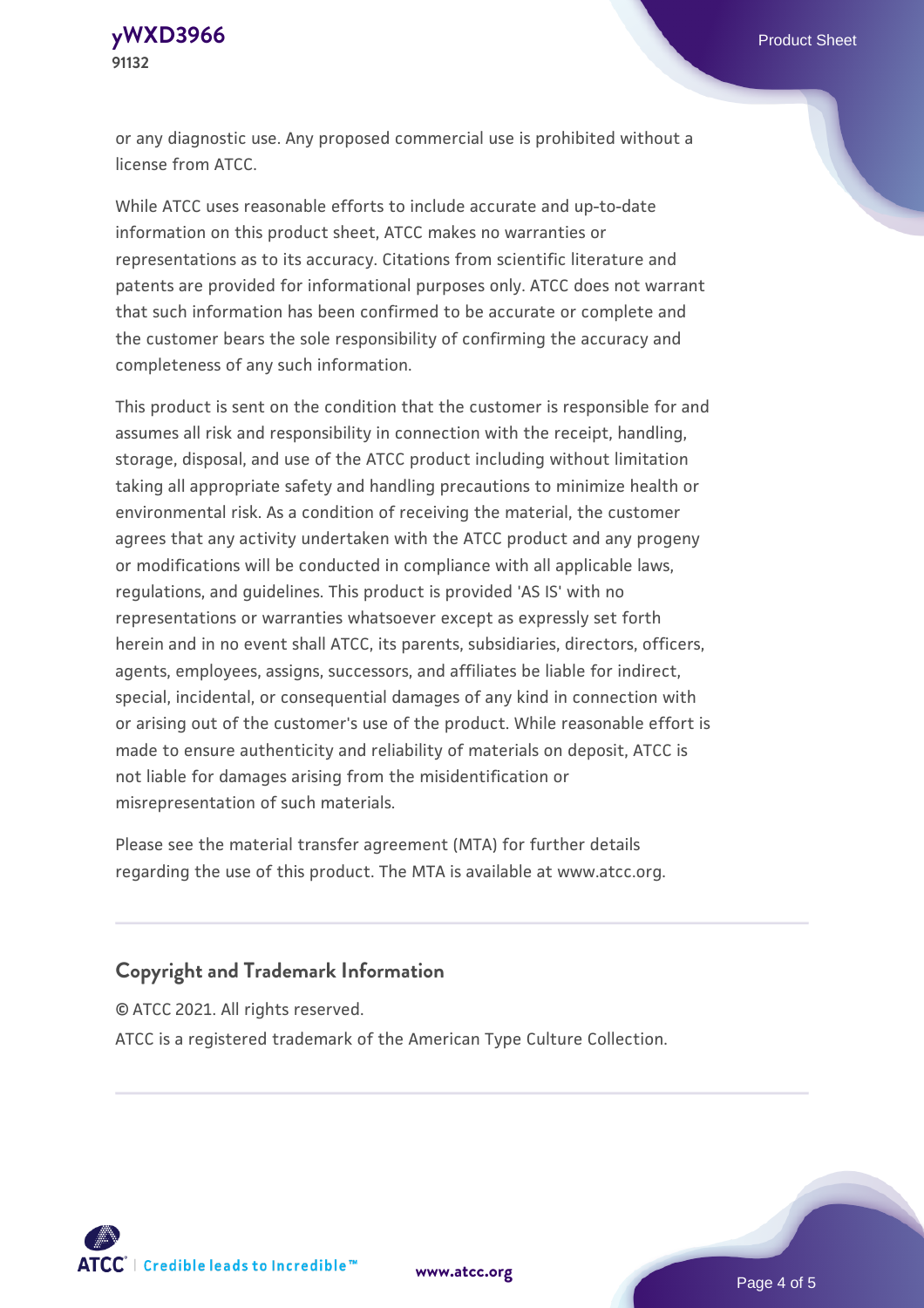or any diagnostic use. Any proposed commercial use is prohibited without a license from ATCC.

While ATCC uses reasonable efforts to include accurate and up-to-date information on this product sheet, ATCC makes no warranties or representations as to its accuracy. Citations from scientific literature and patents are provided for informational purposes only. ATCC does not warrant that such information has been confirmed to be accurate or complete and the customer bears the sole responsibility of confirming the accuracy and completeness of any such information.

This product is sent on the condition that the customer is responsible for and assumes all risk and responsibility in connection with the receipt, handling, storage, disposal, and use of the ATCC product including without limitation taking all appropriate safety and handling precautions to minimize health or environmental risk. As a condition of receiving the material, the customer agrees that any activity undertaken with the ATCC product and any progeny or modifications will be conducted in compliance with all applicable laws, regulations, and guidelines. This product is provided 'AS IS' with no representations or warranties whatsoever except as expressly set forth herein and in no event shall ATCC, its parents, subsidiaries, directors, officers, agents, employees, assigns, successors, and affiliates be liable for indirect, special, incidental, or consequential damages of any kind in connection with or arising out of the customer's use of the product. While reasonable effort is made to ensure authenticity and reliability of materials on deposit, ATCC is not liable for damages arising from the misidentification or misrepresentation of such materials.

Please see the material transfer agreement (MTA) for further details regarding the use of this product. The MTA is available at www.atcc.org.

#### **Copyright and Trademark Information**

© ATCC 2021. All rights reserved.

ATCC is a registered trademark of the American Type Culture Collection.